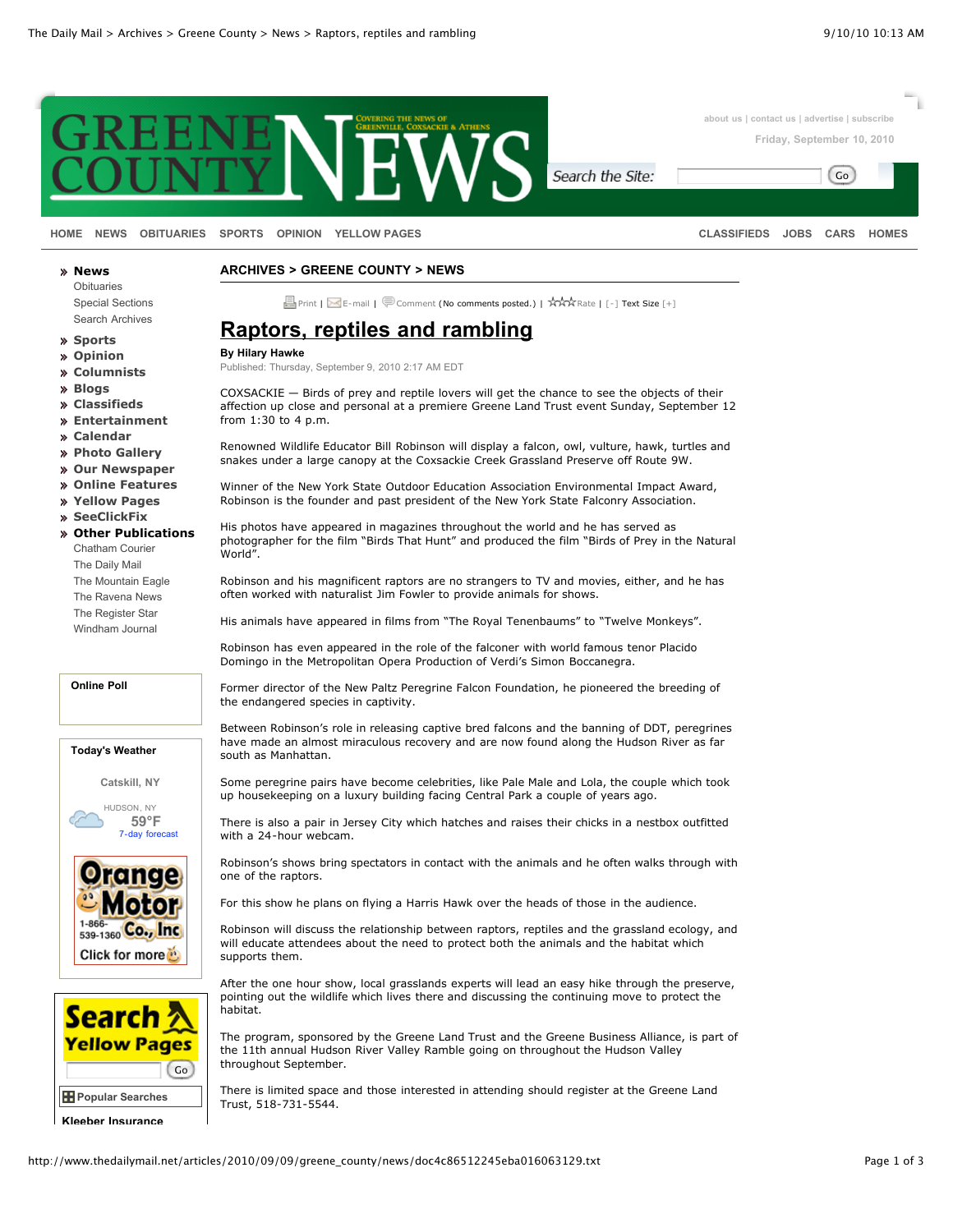

**[HOME](http://www.thedailymail.net/greene_county/front/) [NEWS](http://www.thedailymail.net/greene_county/news/) [OBITUARIES](http://www.thedailymail.net/greene_county/obituaries/) [SPORTS](http://www.thedailymail.net/greene_county/sports/) [OPINION](http://www.thedailymail.net/greene_county/opinion/) [YELLOW PAGES](http://zwire.com/site/yp.cfm?brd=3180) [CLASSIFIEDS](http://www.thedailymail.net/admarket/) [JOBS](http://www.thedailymail.net/admarket/employment/) [CARS](http://www.thedailymail.net/admarket/transportation/) [HOMES](http://www.thedailymail.net/admarket/real_estate/)**

Go

**[Obituaries](http://www.thedailymail.net/greene_county/obituaries/)** [Special Sections](http://www.thedailymail.net/special_section_index/) [Search Archives](http://www.thedailymail.net/archives/)

**[Sports](http://www.thedailymail.net/greene_county/sports/)**

**[News](http://www.thedailymail.net/greene_county/news/)**

**[Opinion](http://www.thedailymail.net/greene_county/opinion/)**

- **[Columnists](http://www.thedailymail.net/greene_county/columnists/)**
- **[Blogs](http://www.thedailymail.net/greene_county/blogs/melanie_lekocevic/)**
- **[Classifieds](http://www.thedailymail.net/admarket/)**
- **[Entertainment](http://thedailymail.org/frameset.html?http://entertainment.townnews.com)**
- **[Calendar](http://www.thedailymail.net/calendar/)**
- **[Photo Gallery](http://www.thedailymail.net/gallery/)**
- **[Our Newspaper](http://www.thedailymail.net/our_newspaper/about_us/)**
- **[Online Features](http://www.thedailymail.net/ara/)**
- **[Yellow Pages](http://zwire.com/site/yp.cfm?brd=3180)**
- **[SeeClickFix](http://www.thedailymail.net/greene_county/seeclickfix/)**
- **[Other Publications](http://www.thedailymail.net/articles/2010/09/09/greene_county/news/doc4c86512245eba016063129.txt#)** [Chatham Courier](http://registerstar.com/chatham_courier/) [The Daily Mail](http://www.thedailymail.net/) [The Mountain Eagle](http://www.thedailymail.net/the_mountain_eagle/front/) [The Ravena News](http://www.thedailymail.net/ravena_news/front/) [The Register Star](http://registerstar.com/) [Windham Journal](http://www.thedailymail.net/windham_journal/front/)

**Online Poll**

**Today's Weather**

**Catskill, NY**

HUDSON, NY **59°F** [7-day forecast](http://weather.townnews.com/?zipcode=12534)





**[Kleeber Insurance](http://www.zwire.com/site/yp.cfm?ENH=35014&pag=1014&BRD=3180)**

**ARCHIVES > GREENE COUNTY > NEWS**

**E** [Print](http://www.thedailymail.net/articles/2010/09/09/greene_county/news/doc4c86512245eba016063129.prt) | K [E-mail](http://www.thedailymail.net/articles/2010/09/09/greene_county/news/doc4c86512245eba016063129.eml) | [Comment](http://www.thedailymail.net/articles/2010/09/09/greene_county/news/doc4c86512245eba016063129.txt#comment) (No comments posted.) | AAA [Rate](http://www.thedailymail.net/articles/2010/09/09/greene_county/news/doc4c86512245eba016063129.txt#rate) | [\[-\]](javascript:eventFaceSmaller()) Text Size [\[+\]](javascript:eventFaceLarger())

## **Raptors, reptiles and rambling**

**By Hilary Hawke**

Published: Thursday, September 9, 2010 2:17 AM EDT

COXSACKIE — Birds of prey and reptile lovers will get the chance to see the objects of their affection up close and personal at a premiere Greene Land Trust event Sunday, September 12 from 1:30 to 4 p.m.

Renowned Wildlife Educator Bill Robinson will display a falcon, owl, vulture, hawk, turtles and snakes under a large canopy at the Coxsackie Creek Grassland Preserve off Route 9W.

Winner of the New York State Outdoor Education Association Environmental Impact Award, Robinson is the founder and past president of the New York State Falconry Association.

His photos have appeared in magazines throughout the world and he has served as photographer for the film "Birds That Hunt" and produced the film "Birds of Prey in the Natural World".

Robinson and his magnificent raptors are no strangers to TV and movies, either, and he has often worked with naturalist Jim Fowler to provide animals for shows.

His animals have appeared in films from "The Royal Tenenbaums" to "Twelve Monkeys".

Robinson has even appeared in the role of the falconer with world famous tenor Placido Domingo in the Metropolitan Opera Production of Verdi's Simon Boccanegra.

Former director of the New Paltz Peregrine Falcon Foundation, he pioneered the breeding of the endangered species in captivity.

Between Robinson's role in releasing captive bred falcons and the banning of DDT, peregrines have made an almost miraculous recovery and are now found along the Hudson River as far south as Manhattan.

Some peregrine pairs have become celebrities, like Pale Male and Lola, the couple which took up housekeeping on a luxury building facing Central Park a couple of years ago.

There is also a pair in Jersey City which hatches and raises their chicks in a nestbox outfitted with a 24-hour webcam.

Robinson's shows bring spectators in contact with the animals and he often walks through with one of the raptors.

For this show he plans on flying a Harris Hawk over the heads of those in the audience.

Robinson will discuss the relationship between raptors, reptiles and the grassland ecology, and will educate attendees about the need to protect both the animals and the habitat which supports them.

After the one hour show, local grasslands experts will lead an easy hike through the preserve, pointing out the wildlife which lives there and discussing the continuing move to protect the habitat.

The program, sponsored by the Greene Land Trust and the Greene Business Alliance, is part of the 11th annual Hudson River Valley Ramble going on throughout the Hudson Valley throughout September.

There is limited space and those interested in attending should register at the Greene Land Trust, 518-731-5544.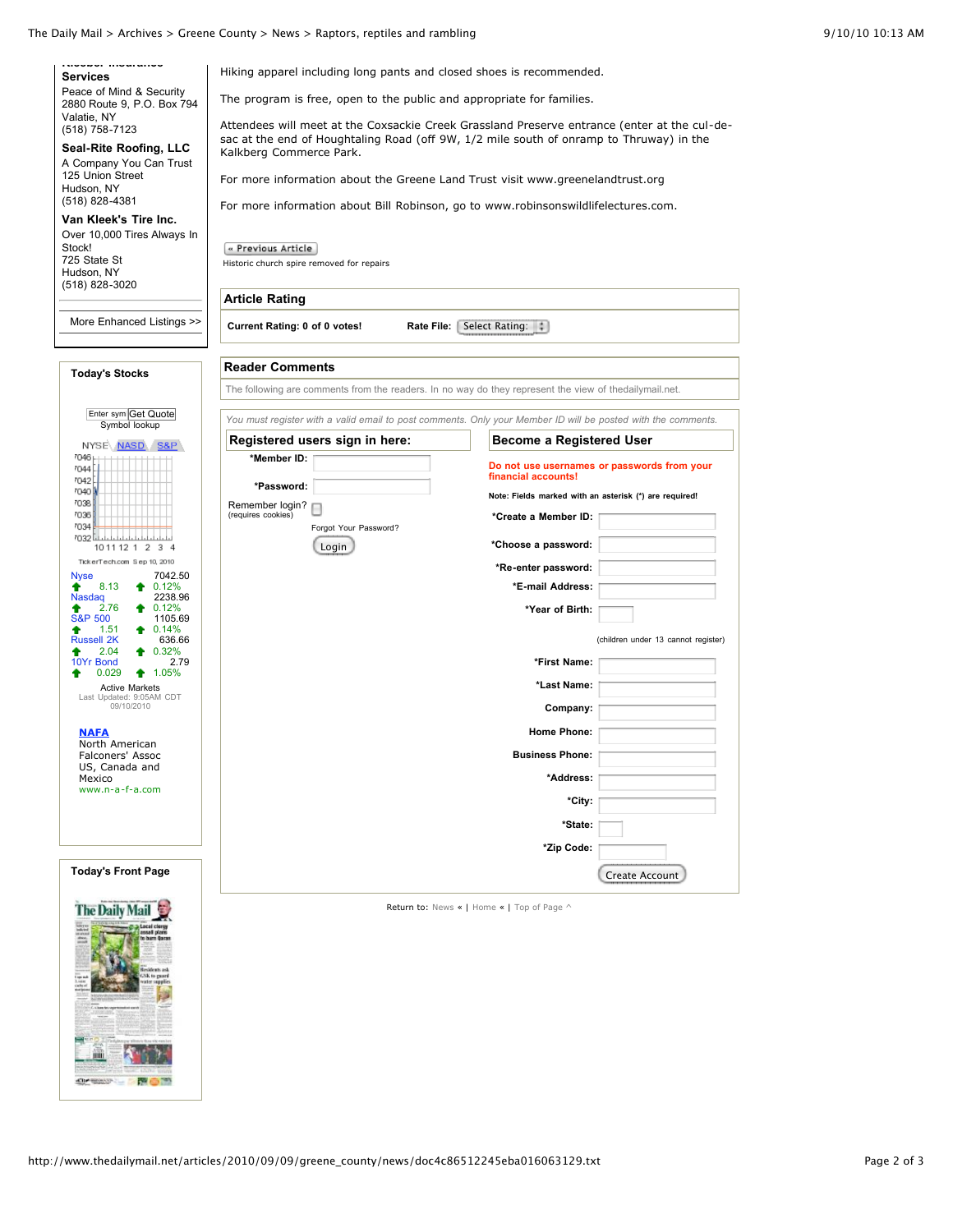## The Daily Mail > Archives > Greene County > News > Raptors, reptiles and rambling 9/10/10 10:13 AM

Kalkberg Commerce Park.

[Historic church spire removed for repairs](http://www.thedailymail.net/articles/2010/09/09/greene_county/news/doc4c8645577b8dc657254576.txt)

**Article Rating**

 $\left[\begin{smallmatrix}\alpha\end{smallmatrix}\right]$  Previous Article

**Kleeber Insurance [Services](http://www.zwire.com/site/yp.cfm?ENH=35014&pag=1014&BRD=3180)** Peace of Mind & Security 2880 Route 9, P.O. Box 794 Valatie, NY (518) 758-7123

**[Seal-Rite Roofing, LLC](http://www.zwire.com/site/yp.cfm?ENH=34791&pag=1014&BRD=3180)** A Company You Can Trust 125 Union Street Hudson, NY (518) 828-4381

**[Van Kleek's Tire Inc.](http://www.zwire.com/site/yp.cfm?ENH=34804&pag=1014&BRD=3180)** Over 10,000 Tires Always In Stock! 725 State St Hudson, NY (518) 828-3020

[More Enhanced Listings >>](http://www.zwire.com/site/yp.cfm?brd=3180&pag=1012&showenh=y)

## **Today's Stocks**

| <b>Today's Stocks</b>                                                                                                                                                                                                                                                                                     | <b>Reader Comments</b>                                                                                       |                                                                                                                                                                                                                                           |  |
|-----------------------------------------------------------------------------------------------------------------------------------------------------------------------------------------------------------------------------------------------------------------------------------------------------------|--------------------------------------------------------------------------------------------------------------|-------------------------------------------------------------------------------------------------------------------------------------------------------------------------------------------------------------------------------------------|--|
|                                                                                                                                                                                                                                                                                                           | The following are comments from the readers. In no way do they represent the view of thedailymail.net.       |                                                                                                                                                                                                                                           |  |
| Enter sym Get Quote<br>Symbol lookup<br>S&P <sup>1</sup><br>NYSE NASD<br>7046<br>7044<br>7042<br>7040<br>7038<br>7036<br>7034<br>7032 L<br>10 11 12 1<br>2<br>3<br>TickerTech.com Sep 10, 2010<br>7042.50<br>Nyse<br>8.13<br>0.12%<br>2238.96<br>Nasdaq<br>0.12%<br>2.76<br><b>S&amp;P 500</b><br>1105.69 | You must register with a valid email to post comments. Only your Member ID will be posted with the comments. |                                                                                                                                                                                                                                           |  |
|                                                                                                                                                                                                                                                                                                           | Registered users sign in here:                                                                               | <b>Become a Registered User</b>                                                                                                                                                                                                           |  |
|                                                                                                                                                                                                                                                                                                           | *Member ID:<br>*Password:<br>Remember login?<br>(requires cookies)<br>Forgot Your Password?<br>Login         | Do not use usernames or passwords from your<br>financial accounts!<br>Note: Fields marked with an asterisk (*) are required!<br>*Create a Member ID:<br>*Choose a password:<br>*Re-enter password:<br>*E-mail Address:<br>*Year of Birth: |  |
| 1.51<br>$\bullet$ 0.14%<br><b>Russell 2K</b><br>636.66<br>2.04<br>0.32%<br>10Yr Bond<br>2.79<br>0.029<br>1.05%                                                                                                                                                                                            |                                                                                                              | (children under 13 cannot register)<br>*First Name:                                                                                                                                                                                       |  |
| ٠<br><b>Active Markets</b><br>Last Updated: 9:05AM CDT<br>09/10/2010                                                                                                                                                                                                                                      |                                                                                                              | *Last Name:                                                                                                                                                                                                                               |  |
|                                                                                                                                                                                                                                                                                                           |                                                                                                              | Company:                                                                                                                                                                                                                                  |  |
| <b>NAFA</b><br>North American                                                                                                                                                                                                                                                                             |                                                                                                              | <b>Home Phone:</b>                                                                                                                                                                                                                        |  |
| Falconers' Assoc<br>US, Canada and                                                                                                                                                                                                                                                                        |                                                                                                              | <b>Business Phone:</b>                                                                                                                                                                                                                    |  |
| Mexico<br>www.n-a-f-a.com                                                                                                                                                                                                                                                                                 |                                                                                                              | *Address:                                                                                                                                                                                                                                 |  |
|                                                                                                                                                                                                                                                                                                           |                                                                                                              | *City:                                                                                                                                                                                                                                    |  |
|                                                                                                                                                                                                                                                                                                           |                                                                                                              | *State:                                                                                                                                                                                                                                   |  |
|                                                                                                                                                                                                                                                                                                           |                                                                                                              | *Zip Code:                                                                                                                                                                                                                                |  |
| <b>Today's Front Page</b>                                                                                                                                                                                                                                                                                 |                                                                                                              | <b>Create Account</b>                                                                                                                                                                                                                     |  |

Hiking apparel including long pants and closed shoes is recommended. The program is free, open to the public and appropriate for families.

**Current Rating: 0 of 0 votes!** Rate File: Select Rating: :

Attendees will meet at the Coxsackie Creek Grassland Preserve entrance (enter at the cul-desac at the end of Houghtaling Road (off 9W, 1/2 mile south of onramp to Thruway) in the

For more information about the Greene Land Trust visit [www.greenelandtrust.org](http://www.greenelandtrust.org/) For more information about Bill Robinson, go to [www.robinsonswildlifelectures.com](http://www.robinsonswildlifelectures.com/).



Return to: [News](http://www.thedailymail.net/articles/2010/09/09/greene_county/news/) « | [Home](http://www.thedailymail.net/) « | [Top of Page ^](http://www.thedailymail.net/articles/2010/09/09/greene_county/news/doc4c86512245eba016063129.txt#top)